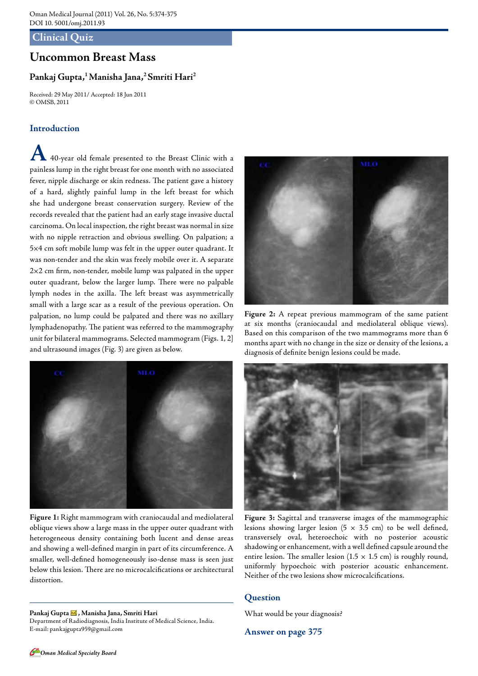## **Clinical Quiz**

# **Uncommon Breast Mass**

# **Pankaj Gupta,1 Manisha Jana,2 Smriti Hari2**

Received: 29 May 2011/ Accepted: 18 Jun 2011 © OMSB, 2011

# **Introduction**

**A** 40-year old female presented to the Breast Clinic with a painless lump in the right breast for one month with no associated fever, nipple discharge or skin redness. The patient gave a history of a hard, slightly painful lump in the left breast for which she had undergone breast conservation surgery. Review of the records revealed that the patient had an early stage invasive ductal carcinoma. On local inspection, the right breast was normal in size with no nipple retraction and obvious swelling. On palpation; a 5×4 cm soft mobile lump was felt in the upper outer quadrant. It was non-tender and the skin was freely mobile over it. A separate 2×2 cm firm, non-tender, mobile lump was palpated in the upper outer quadrant, below the larger lump. There were no palpable lymph nodes in the axilla. The left breast was asymmetrically small with a large scar as a result of the previous operation. On palpation, no lump could be palpated and there was no axillary lymphadenopathy. The patient was referred to the mammography unit for bilateral mammograms. Selected mammogram (Figs. 1, 2] and ultrasound images (Fig. 3) are given as below.



**Figure 1:** Right mammogram with craniocaudal and mediolateral oblique views show a large mass in the upper outer quadrant with heterogeneous density containing both lucent and dense areas and showing a well-defined margin in part of its circumference. A smaller, well-defined homogeneously iso-dense mass is seen just below this lesion. There are no microcalcifications or architectural distortion.

**Pankaj Gupta , Manisha Jana, Smriti Hari** Department of Radiodiagnosis, India Institute of Medical Science, India. E-mail: pankajgupta959@gmail.com



**Figure 2:** A repeat previous mammogram of the same patient at six months (craniocaudal and mediolateral oblique views). Based on this comparison of the two mammograms more than 6 months apart with no change in the size or density of the lesions, a diagnosis of definite benign lesions could be made.



**Figure 3:** Sagittal and transverse images of the mammographic lesions showing larger lesion  $(5 \times 3.5 \text{ cm})$  to be well defined, transversely oval, heteroechoic with no posterior acoustic shadowing or enhancement, with a well defined capsule around the entire lesion. The smaller lesion  $(1.5 \times 1.5 \text{ cm})$  is roughly round, uniformly hypoechoic with posterior acoustic enhancement. Neither of the two lesions show microcalcifications.

#### **Question**

What would be your diagnosis?

**Answer on page 375**